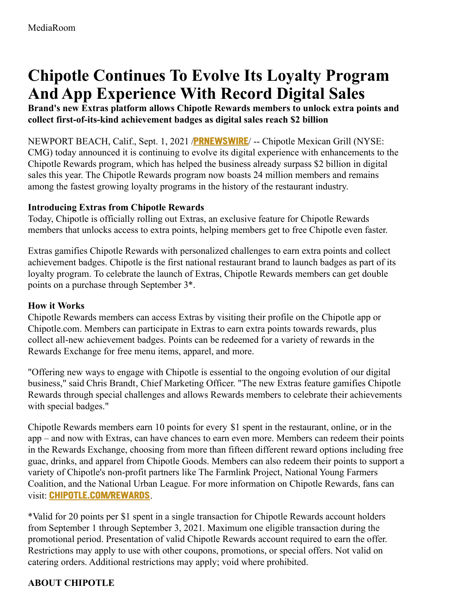# **Chipotle Continues To Evolve Its Loyalty Program And App Experience With Record Digital Sales**

**Brand's new Extras platform allows Chipotle Rewards members to unlock extra points and collect first-of-its-kind achievement badges as digital sales reach \$2 billion**

NEWPORT BEACH, Calif., Sept. 1, 2021 /**[PRNEWSWIRE](http://www.prnewswire.com/)**/ -- Chipotle Mexican Grill (NYSE: CMG) today announced it is continuing to evolve its digital experience with enhancements to the Chipotle Rewards program, which has helped the business already surpass \$2 billion in digital sales this year. The Chipotle Rewards program now boasts 24 million members and remains among the fastest growing loyalty programs in the history of the restaurant industry.

#### **Introducing Extras from Chipotle Rewards**

Today, Chipotle is officially rolling out Extras, an exclusive feature for Chipotle Rewards members that unlocks access to extra points, helping members get to free Chipotle even faster.

Extras gamifies Chipotle Rewards with personalized challenges to earn extra points and collect achievement badges. Chipotle is the first national restaurant brand to launch badges as part of its loyalty program. To celebrate the launch of Extras, Chipotle Rewards members can get double points on a purchase through September 3\*.

#### **How it Works**

Chipotle Rewards members can access Extras by visiting their profile on the Chipotle app or Chipotle.com. Members can participate in Extras to earn extra points towards rewards, plus collect all-new achievement badges. Points can be redeemed for a variety of rewards in the Rewards Exchange for free menu items, apparel, and more.

"Offering new ways to engage with Chipotle is essential to the ongoing evolution of our digital business," said Chris Brandt, Chief Marketing Officer. "The new Extras feature gamifies Chipotle Rewards through special challenges and allows Rewards members to celebrate their achievements with special badges."

Chipotle Rewards members earn 10 points for every \$1 spent in the restaurant, online, or in the app – and now with Extras, can have chances to earn even more. Members can redeem their points in the Rewards Exchange, choosing from more than fifteen different reward options including free guac, drinks, and apparel from Chipotle Goods. Members can also redeem their points to support a variety of Chipotle's non-profit partners like The Farmlink Project, National Young Farmers Coalition, and the National Urban League. For more information on Chipotle Rewards, fans can visit: **[CHIPOTLE.COM/REWARDS](https://c212.net/c/link/?t=0&l=en&o=3276210-1&h=1167059535&u=https%3A%2F%2Fchipotle.com%2Frewards&a=chipotle.com%2Frewards)**.

\*Valid for 20 points per \$1 spent in a single transaction for Chipotle Rewards account holders from September 1 through September 3, 2021. Maximum one eligible transaction during the promotional period. Presentation of valid Chipotle Rewards account required to earn the offer. Restrictions may apply to use with other coupons, promotions, or special offers. Not valid on catering orders. Additional restrictions may apply; void where prohibited.

## **ABOUT CHIPOTLE**